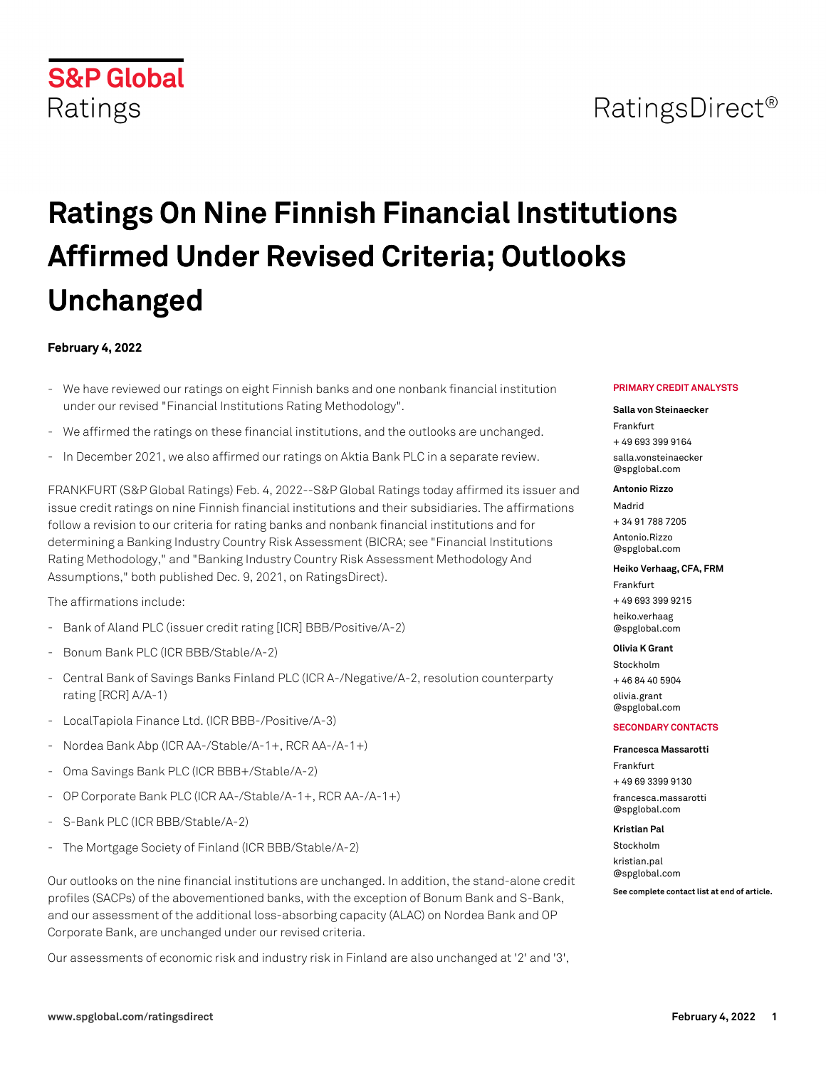# RatingsDirect<sup>®</sup>

# **Ratings On Nine Finnish Financial Institutions Affirmed Under Revised Criteria; Outlooks Unchanged**

### **February 4, 2022**

**S&P Global** 

Ratings

- We have reviewed our ratings on eight Finnish banks and one nonbank financial institution under our revised "Financial Institutions Rating Methodology".
- We affirmed the ratings on these financial institutions, and the outlooks are unchanged.
- In December 2021, we also affirmed our ratings on Aktia Bank PLC in a separate review.

FRANKFURT (S&P Global Ratings) Feb. 4, 2022--S&P Global Ratings today affirmed its issuer and issue credit ratings on nine Finnish financial institutions and their subsidiaries. The affirmations follow a revision to our criteria for rating banks and nonbank financial institutions and for determining a Banking Industry Country Risk Assessment (BICRA; see "Financial Institutions Rating Methodology," and "Banking Industry Country Risk Assessment Methodology And Assumptions," both published Dec. 9, 2021, on RatingsDirect).

The affirmations include:

- Bank of Aland PLC (issuer credit rating [ICR] BBB/Positive/A-2)
- Bonum Bank PLC (ICR BBB/Stable/A-2)
- Central Bank of Savings Banks Finland PLC (ICR A-/Negative/A-2, resolution counterparty rating [RCR] A/A-1)
- LocalTapiola Finance Ltd. (ICR BBB-/Positive/A-3)
- Nordea Bank Abp (ICR AA-/Stable/A-1+, RCR AA-/A-1+)
- Oma Savings Bank PLC (ICR BBB+/Stable/A-2)
- OP Corporate Bank PLC (ICR AA-/Stable/A-1+, RCR AA-/A-1+)
- S-Bank PLC (ICR BBB/Stable/A-2)
- The Mortgage Society of Finland (ICR BBB/Stable/A-2)

Our outlooks on the nine financial institutions are unchanged. In addition, the stand-alone credit profiles (SACPs) of the abovementioned banks, with the exception of Bonum Bank and S-Bank, and our assessment of the additional loss-absorbing capacity (ALAC) on Nordea Bank and OP Corporate Bank, are unchanged under our revised criteria.

Our assessments of economic risk and industry risk in Finland are also unchanged at '2' and '3',

#### **PRIMARY CREDIT ANALYSTS**

#### **Salla von Steinaecker**

Frankfurt + 49 693 399 9164 [salla.vonsteinaecker](mailto: salla.vonsteinaecker@spglobal.com) [@spglobal.com](mailto: salla.vonsteinaecker@spglobal.com)

#### **Antonio Rizzo**

Madrid + 34 91 788 7205 [Antonio.Rizzo](mailto: Antonio.Rizzo@spglobal.com) [@spglobal.com](mailto: Antonio.Rizzo@spglobal.com)

#### **Heiko Verhaag, CFA, FRM**

Frankfurt + 49 693 399 9215 [heiko.verhaag](mailto: heiko.verhaag@spglobal.com) [@spglobal.com](mailto: heiko.verhaag@spglobal.com)

#### **Olivia K Grant**

Stockholm + 46 84 40 5904

[olivia.grant](mailto: olivia.grant@spglobal.com) [@spglobal.com](mailto: olivia.grant@spglobal.com)

#### **SECONDARY CONTACTS**

#### **Francesca Massarotti**

Frankfurt + 49 69 3399 9130 [francesca.massarotti](mailto: francesca.massarotti@spglobal.com) [@spglobal.com](mailto: francesca.massarotti@spglobal.com)

#### **Kristian Pal**

Stockholm [kristian.pal](mailto: kristian.pal@spglobal.com) [@spglobal.com](mailto: kristian.pal@spglobal.com)

**See complete contact list at end of article.**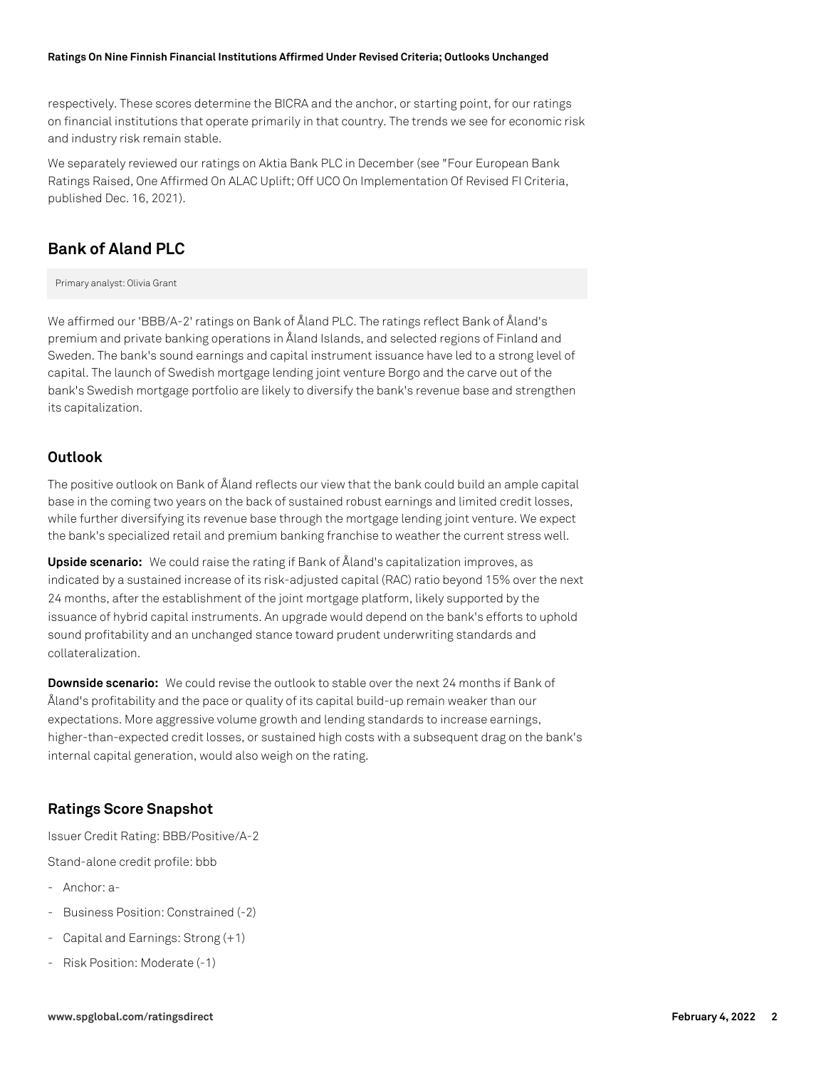respectively. These scores determine the BICRA and the anchor, or starting point, for our ratings on financial institutions that operate primarily in that country. The trends we see for economic risk and industry risk remain stable.

We separately reviewed our ratings on Aktia Bank PLC in December (see "Four European Bank Ratings Raised, One Affirmed On ALAC Uplift; Off UCO On Implementation Of Revised FI Criteria, published Dec. 16, 2021).

# **Bank of Aland PLC**

Primary analyst: Olivia Grant

We affirmed our 'BBB/A-2' ratings on Bank of Åland PLC. The ratings reflect Bank of Åland's premium and private banking operations in Åland Islands, and selected regions of Finland and Sweden. The bank's sound earnings and capital instrument issuance have led to a strong level of capital. The launch of Swedish mortgage lending joint venture Borgo and the carve out of the bank's Swedish mortgage portfolio are likely to diversify the bank's revenue base and strengthen its capitalization.

### **Outlook**

The positive outlook on Bank of Åland reflects our view that the bank could build an ample capital base in the coming two years on the back of sustained robust earnings and limited credit losses, while further diversifying its revenue base through the mortgage lending joint venture. We expect the bank's specialized retail and premium banking franchise to weather the current stress well.

**Upside scenario:** We could raise the rating if Bank of Åland's capitalization improves, as indicated by a sustained increase of its risk-adjusted capital (RAC) ratio beyond 15% over the next 24 months, after the establishment of the joint mortgage platform, likely supported by the issuance of hybrid capital instruments. An upgrade would depend on the bank's efforts to uphold sound profitability and an unchanged stance toward prudent underwriting standards and collateralization.

**Downside scenario:** We could revise the outlook to stable over the next 24 months if Bank of Åland's profitability and the pace or quality of its capital build-up remain weaker than our expectations. More aggressive volume growth and lending standards to increase earnings, higher-than-expected credit losses, or sustained high costs with a subsequent drag on the bank's internal capital generation, would also weigh on the rating.

# **Ratings Score Snapshot**

Issuer Credit Rating: BBB/Positive/A-2 Stand-alone credit profile: bbb

- Anchor: a-
- Business Position: Constrained (-2)
- Capital and Earnings: Strong (+1)
- Risk Position: Moderate (-1)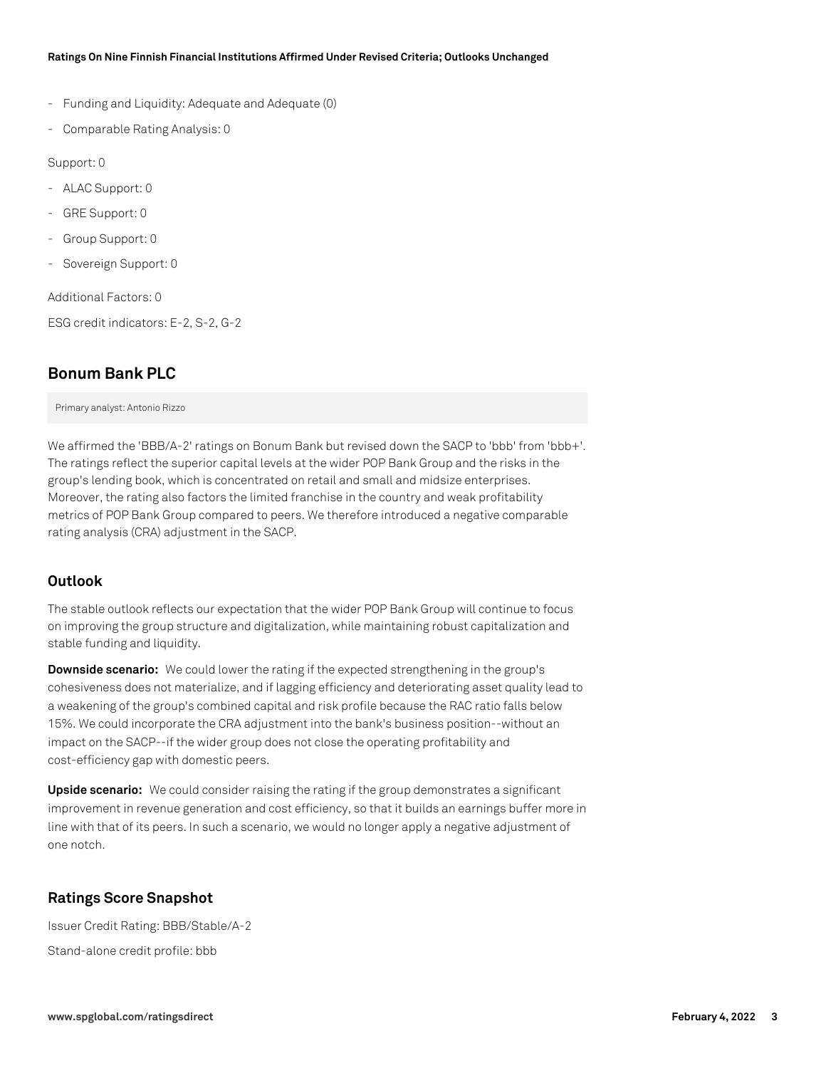- Funding and Liquidity: Adequate and Adequate (0)
- Comparable Rating Analysis: 0

Support: 0

- ALAC Support: 0
- GRE Support: 0
- Group Support: 0
- Sovereign Support: 0

Additional Factors: 0

ESG credit indicators: E-2, S-2, G-2

# **Bonum Bank PLC**

Primary analyst: Antonio Rizzo

We affirmed the 'BBB/A-2' ratings on Bonum Bank but revised down the SACP to 'bbb' from 'bbb+'. The ratings reflect the superior capital levels at the wider POP Bank Group and the risks in the group's lending book, which is concentrated on retail and small and midsize enterprises. Moreover, the rating also factors the limited franchise in the country and weak profitability metrics of POP Bank Group compared to peers. We therefore introduced a negative comparable rating analysis (CRA) adjustment in the SACP.

# **Outlook**

The stable outlook reflects our expectation that the wider POP Bank Group will continue to focus on improving the group structure and digitalization, while maintaining robust capitalization and stable funding and liquidity.

**Downside scenario:** We could lower the rating if the expected strengthening in the group's cohesiveness does not materialize, and if lagging efficiency and deteriorating asset quality lead to a weakening of the group's combined capital and risk profile because the RAC ratio falls below 15%. We could incorporate the CRA adjustment into the bank's business position--without an impact on the SACP--if the wider group does not close the operating profitability and cost-efficiency gap with domestic peers.

**Upside scenario:** We could consider raising the rating if the group demonstrates a significant improvement in revenue generation and cost efficiency, so that it builds an earnings buffer more in line with that of its peers. In such a scenario, we would no longer apply a negative adjustment of one notch.

# **Ratings Score Snapshot**

Issuer Credit Rating: BBB/Stable/A-2 Stand-alone credit profile: bbb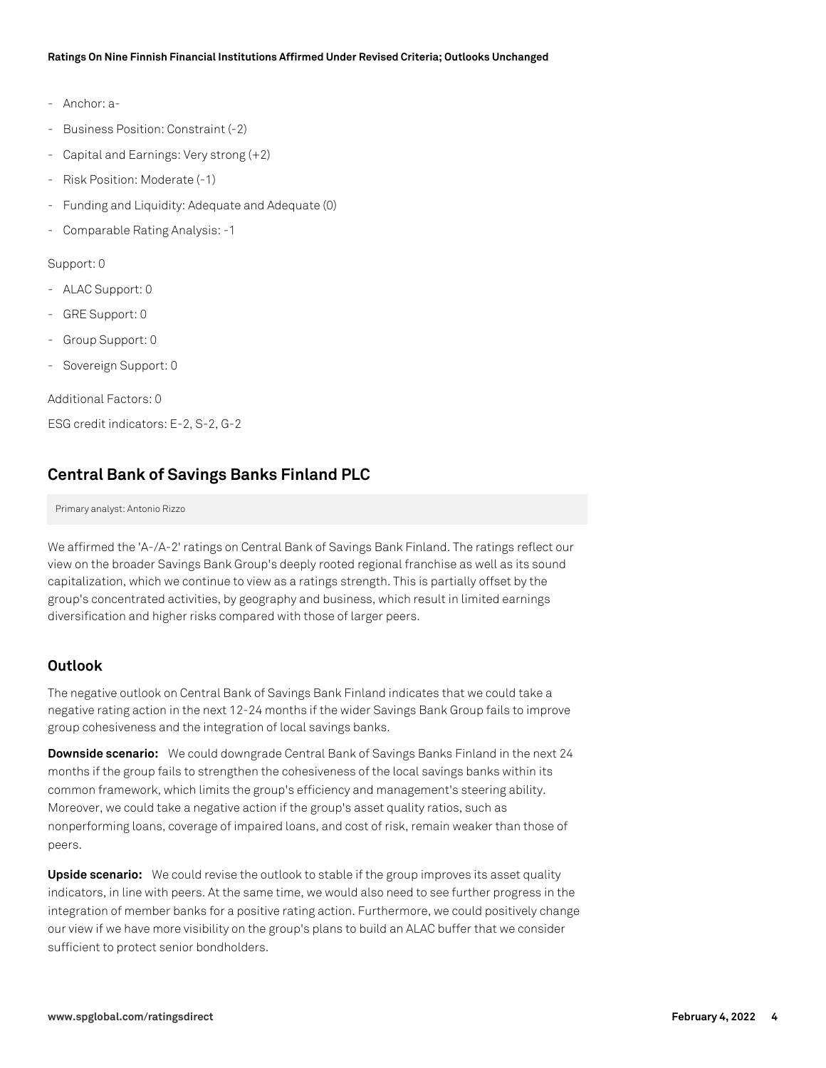- Anchor: a-
- Business Position: Constraint (-2)
- Capital and Earnings: Very strong (+2)
- Risk Position: Moderate (-1)
- Funding and Liquidity: Adequate and Adequate (0)
- Comparable Rating Analysis: -1

#### Support: 0

- ALAC Support: 0
- GRE Support: 0
- Group Support: 0
- Sovereign Support: 0

Additional Factors: 0

ESG credit indicators: E-2, S-2, G-2

# **Central Bank of Savings Banks Finland PLC**

#### Primary analyst: Antonio Rizzo

We affirmed the 'A-/A-2' ratings on Central Bank of Savings Bank Finland. The ratings reflect our view on the broader Savings Bank Group's deeply rooted regional franchise as well as its sound capitalization, which we continue to view as a ratings strength. This is partially offset by the group's concentrated activities, by geography and business, which result in limited earnings diversification and higher risks compared with those of larger peers.

#### **Outlook**

The negative outlook on Central Bank of Savings Bank Finland indicates that we could take a negative rating action in the next 12-24 months if the wider Savings Bank Group fails to improve group cohesiveness and the integration of local savings banks.

**Downside scenario:** We could downgrade Central Bank of Savings Banks Finland in the next 24 months if the group fails to strengthen the cohesiveness of the local savings banks within its common framework, which limits the group's efficiency and management's steering ability. Moreover, we could take a negative action if the group's asset quality ratios, such as nonperforming loans, coverage of impaired loans, and cost of risk, remain weaker than those of peers.

**Upside scenario:** We could revise the outlook to stable if the group improves its asset quality indicators, in line with peers. At the same time, we would also need to see further progress in the integration of member banks for a positive rating action. Furthermore, we could positively change our view if we have more visibility on the group's plans to build an ALAC buffer that we consider sufficient to protect senior bondholders.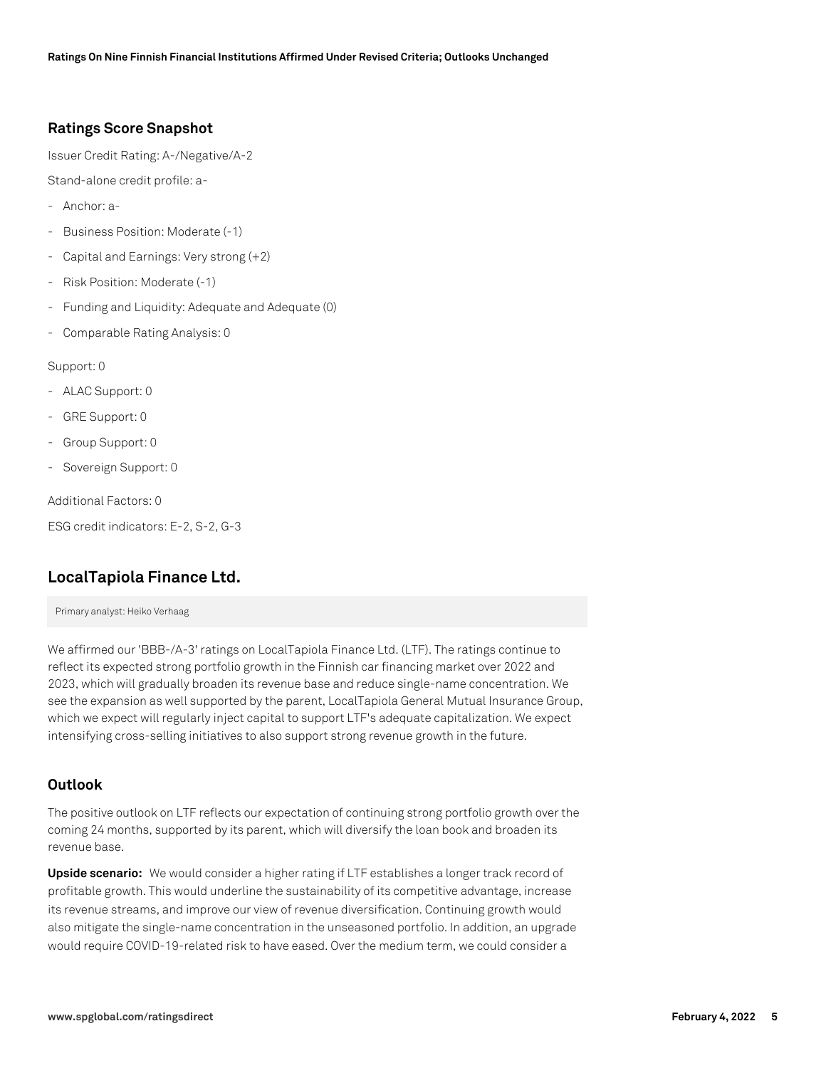# **Ratings Score Snapshot**

Issuer Credit Rating: A-/Negative/A-2

Stand-alone credit profile: a-

- Anchor: a-
- Business Position: Moderate (-1)
- Capital and Earnings: Very strong (+2)
- Risk Position: Moderate (-1)
- Funding and Liquidity: Adequate and Adequate (0)
- Comparable Rating Analysis: 0

Support: 0

- ALAC Support: 0
- GRE Support: 0
- Group Support: 0
- Sovereign Support: 0

Additional Factors: 0

ESG credit indicators: E-2, S-2, G-3

# **LocalTapiola Finance Ltd.**

Primary analyst: Heiko Verhaag

We affirmed our 'BBB-/A-3' ratings on LocalTapiola Finance Ltd. (LTF). The ratings continue to reflect its expected strong portfolio growth in the Finnish car financing market over 2022 and 2023, which will gradually broaden its revenue base and reduce single-name concentration. We see the expansion as well supported by the parent, LocalTapiola General Mutual Insurance Group, which we expect will regularly inject capital to support LTF's adequate capitalization. We expect intensifying cross-selling initiatives to also support strong revenue growth in the future.

#### **Outlook**

The positive outlook on LTF reflects our expectation of continuing strong portfolio growth over the coming 24 months, supported by its parent, which will diversify the loan book and broaden its revenue base.

**Upside scenario:** We would consider a higher rating if LTF establishes a longer track record of profitable growth. This would underline the sustainability of its competitive advantage, increase its revenue streams, and improve our view of revenue diversification. Continuing growth would also mitigate the single-name concentration in the unseasoned portfolio. In addition, an upgrade would require COVID-19-related risk to have eased. Over the medium term, we could consider a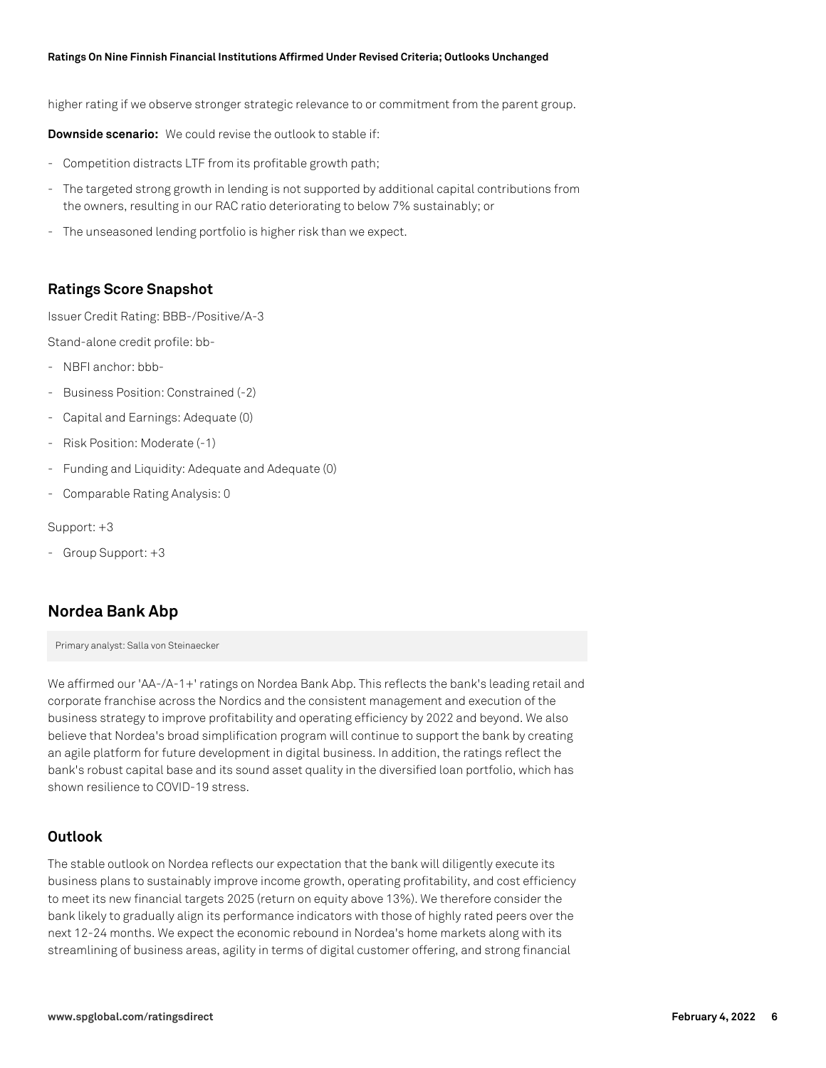higher rating if we observe stronger strategic relevance to or commitment from the parent group.

**Downside scenario:** We could revise the outlook to stable if:

- Competition distracts LTF from its profitable growth path;
- The targeted strong growth in lending is not supported by additional capital contributions from the owners, resulting in our RAC ratio deteriorating to below 7% sustainably; or
- The unseasoned lending portfolio is higher risk than we expect.

#### **Ratings Score Snapshot**

Issuer Credit Rating: BBB-/Positive/A-3

Stand-alone credit profile: bb-

- NBFI anchor: bbb-
- Business Position: Constrained (-2)
- Capital and Earnings: Adequate (0)
- Risk Position: Moderate (-1)
- Funding and Liquidity: Adequate and Adequate (0)
- Comparable Rating Analysis: 0

#### Support: +3

- Group Support: +3

#### **Nordea Bank Abp**

Primary analyst: Salla von Steinaecker

We affirmed our 'AA-/A-1+' ratings on Nordea Bank Abp. This reflects the bank's leading retail and corporate franchise across the Nordics and the consistent management and execution of the business strategy to improve profitability and operating efficiency by 2022 and beyond. We also believe that Nordea's broad simplification program will continue to support the bank by creating an agile platform for future development in digital business. In addition, the ratings reflect the bank's robust capital base and its sound asset quality in the diversified loan portfolio, which has shown resilience to COVID-19 stress.

#### **Outlook**

The stable outlook on Nordea reflects our expectation that the bank will diligently execute its business plans to sustainably improve income growth, operating profitability, and cost efficiency to meet its new financial targets 2025 (return on equity above 13%). We therefore consider the bank likely to gradually align its performance indicators with those of highly rated peers over the next 12-24 months. We expect the economic rebound in Nordea's home markets along with its streamlining of business areas, agility in terms of digital customer offering, and strong financial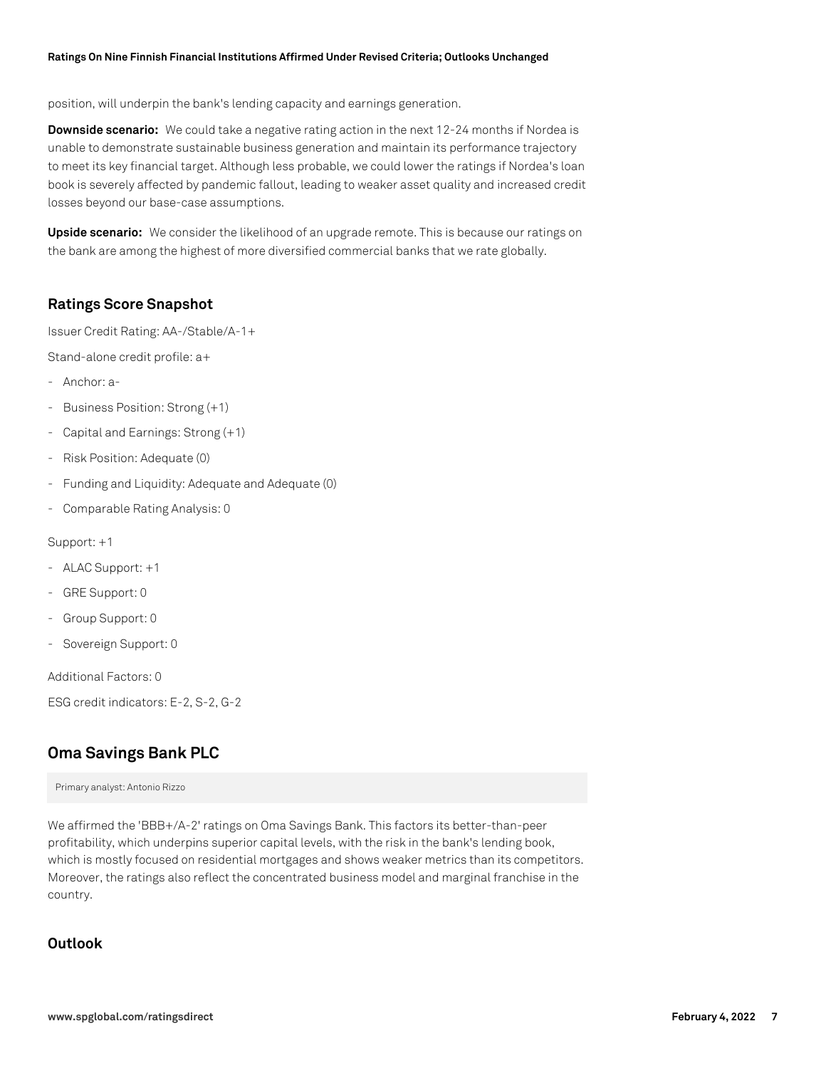position, will underpin the bank's lending capacity and earnings generation.

**Downside scenario:** We could take a negative rating action in the next 12-24 months if Nordea is unable to demonstrate sustainable business generation and maintain its performance trajectory to meet its key financial target. Although less probable, we could lower the ratings if Nordea's loan book is severely affected by pandemic fallout, leading to weaker asset quality and increased credit losses beyond our base-case assumptions.

**Upside scenario:** We consider the likelihood of an upgrade remote. This is because our ratings on the bank are among the highest of more diversified commercial banks that we rate globally.

# **Ratings Score Snapshot**

Issuer Credit Rating: AA-/Stable/A-1+

Stand-alone credit profile: a+

- Anchor: a-
- Business Position: Strong (+1)
- Capital and Earnings: Strong (+1)
- Risk Position: Adequate (0)
- Funding and Liquidity: Adequate and Adequate (0)
- Comparable Rating Analysis: 0

Support: +1

- ALAC Support: +1
- GRE Support: 0
- Group Support: 0
- Sovereign Support: 0

Additional Factors: 0

ESG credit indicators: E-2, S-2, G-2

# **Oma Savings Bank PLC**

Primary analyst: Antonio Rizzo

We affirmed the 'BBB+/A-2' ratings on Oma Savings Bank. This factors its better-than-peer profitability, which underpins superior capital levels, with the risk in the bank's lending book, which is mostly focused on residential mortgages and shows weaker metrics than its competitors. Moreover, the ratings also reflect the concentrated business model and marginal franchise in the country.

# **Outlook**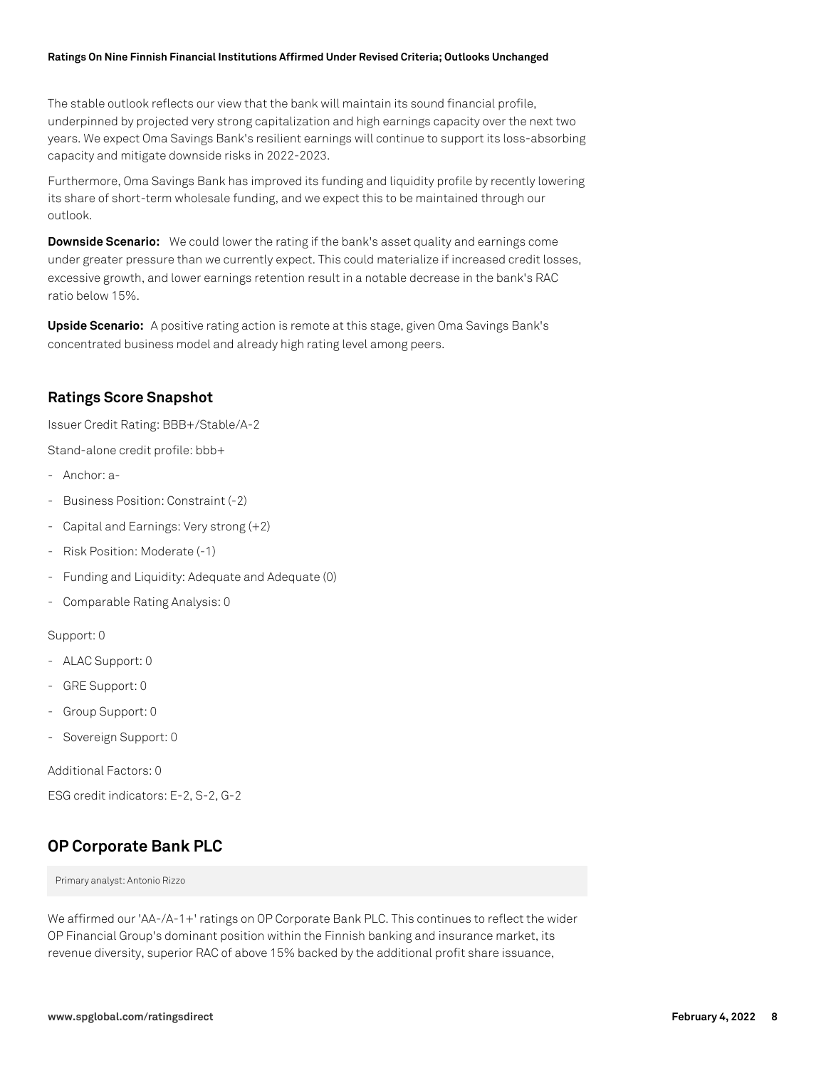The stable outlook reflects our view that the bank will maintain its sound financial profile, underpinned by projected very strong capitalization and high earnings capacity over the next two years. We expect Oma Savings Bank's resilient earnings will continue to support its loss-absorbing capacity and mitigate downside risks in 2022-2023.

Furthermore, Oma Savings Bank has improved its funding and liquidity profile by recently lowering its share of short-term wholesale funding, and we expect this to be maintained through our outlook.

**Downside Scenario:** We could lower the rating if the bank's asset quality and earnings come under greater pressure than we currently expect. This could materialize if increased credit losses, excessive growth, and lower earnings retention result in a notable decrease in the bank's RAC ratio below 15%.

**Upside Scenario:** A positive rating action is remote at this stage, given Oma Savings Bank's concentrated business model and already high rating level among peers.

### **Ratings Score Snapshot**

Issuer Credit Rating: BBB+/Stable/A-2

Stand-alone credit profile: bbb+

- Anchor: a-
- Business Position: Constraint (-2)
- Capital and Earnings: Very strong (+2)
- Risk Position: Moderate (-1)
- Funding and Liquidity: Adequate and Adequate (0)
- Comparable Rating Analysis: 0

Support: 0

- ALAC Support: 0
- GRE Support: 0
- Group Support: 0
- Sovereign Support: 0

Additional Factors: 0

ESG credit indicators: E-2, S-2, G-2

# **OP Corporate Bank PLC**

Primary analyst: Antonio Rizzo

We affirmed our 'AA-/A-1+' ratings on OP Corporate Bank PLC. This continues to reflect the wider OP Financial Group's dominant position within the Finnish banking and insurance market, its revenue diversity, superior RAC of above 15% backed by the additional profit share issuance,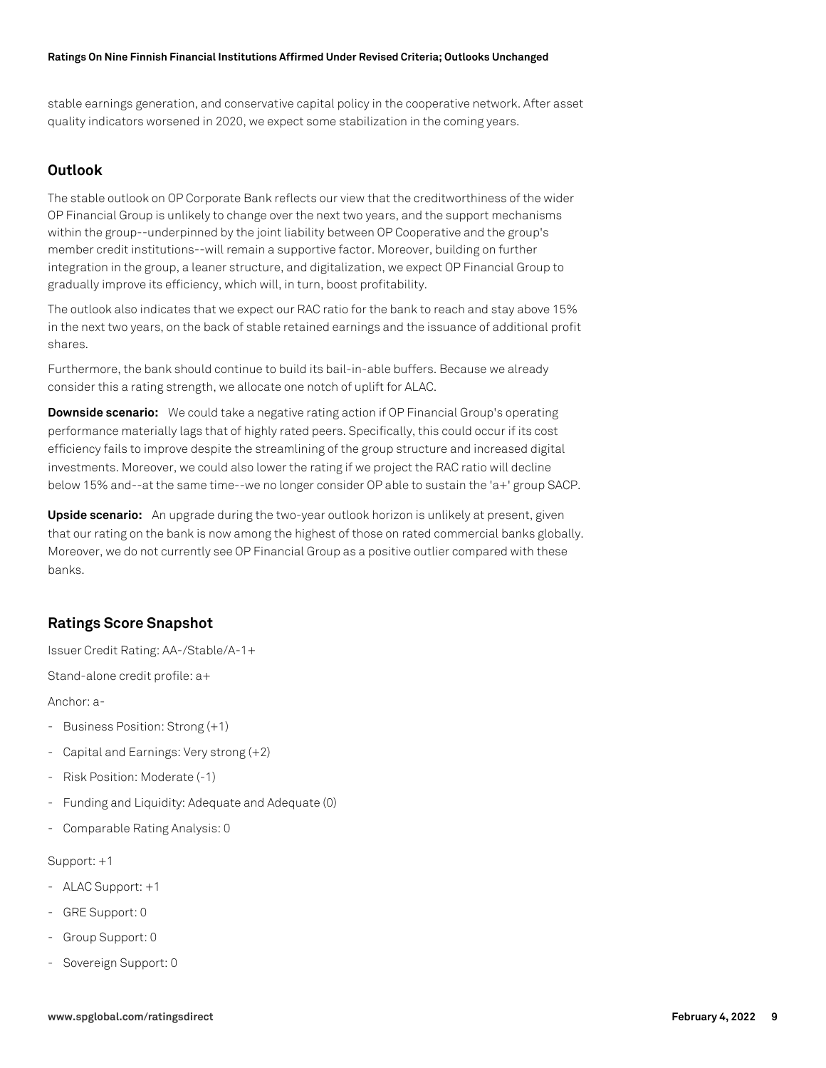stable earnings generation, and conservative capital policy in the cooperative network. After asset quality indicators worsened in 2020, we expect some stabilization in the coming years.

### **Outlook**

The stable outlook on OP Corporate Bank reflects our view that the creditworthiness of the wider OP Financial Group is unlikely to change over the next two years, and the support mechanisms within the group--underpinned by the joint liability between OP Cooperative and the group's member credit institutions--will remain a supportive factor. Moreover, building on further integration in the group, a leaner structure, and digitalization, we expect OP Financial Group to gradually improve its efficiency, which will, in turn, boost profitability.

The outlook also indicates that we expect our RAC ratio for the bank to reach and stay above 15% in the next two years, on the back of stable retained earnings and the issuance of additional profit shares.

Furthermore, the bank should continue to build its bail-in-able buffers. Because we already consider this a rating strength, we allocate one notch of uplift for ALAC.

**Downside scenario:** We could take a negative rating action if OP Financial Group's operating performance materially lags that of highly rated peers. Specifically, this could occur if its cost efficiency fails to improve despite the streamlining of the group structure and increased digital investments. Moreover, we could also lower the rating if we project the RAC ratio will decline below 15% and--at the same time--we no longer consider OP able to sustain the 'a+' group SACP.

**Upside scenario:** An upgrade during the two-year outlook horizon is unlikely at present, given that our rating on the bank is now among the highest of those on rated commercial banks globally. Moreover, we do not currently see OP Financial Group as a positive outlier compared with these banks.

# **Ratings Score Snapshot**

Issuer Credit Rating: AA-/Stable/A-1+

Stand-alone credit profile: a+

Anchor: a-

- Business Position: Strong (+1)
- Capital and Earnings: Very strong (+2)
- Risk Position: Moderate (-1)
- Funding and Liquidity: Adequate and Adequate (0)
- Comparable Rating Analysis: 0

#### Support: +1

- ALAC Support: +1
- GRE Support: 0
- Group Support: 0
- Sovereign Support: 0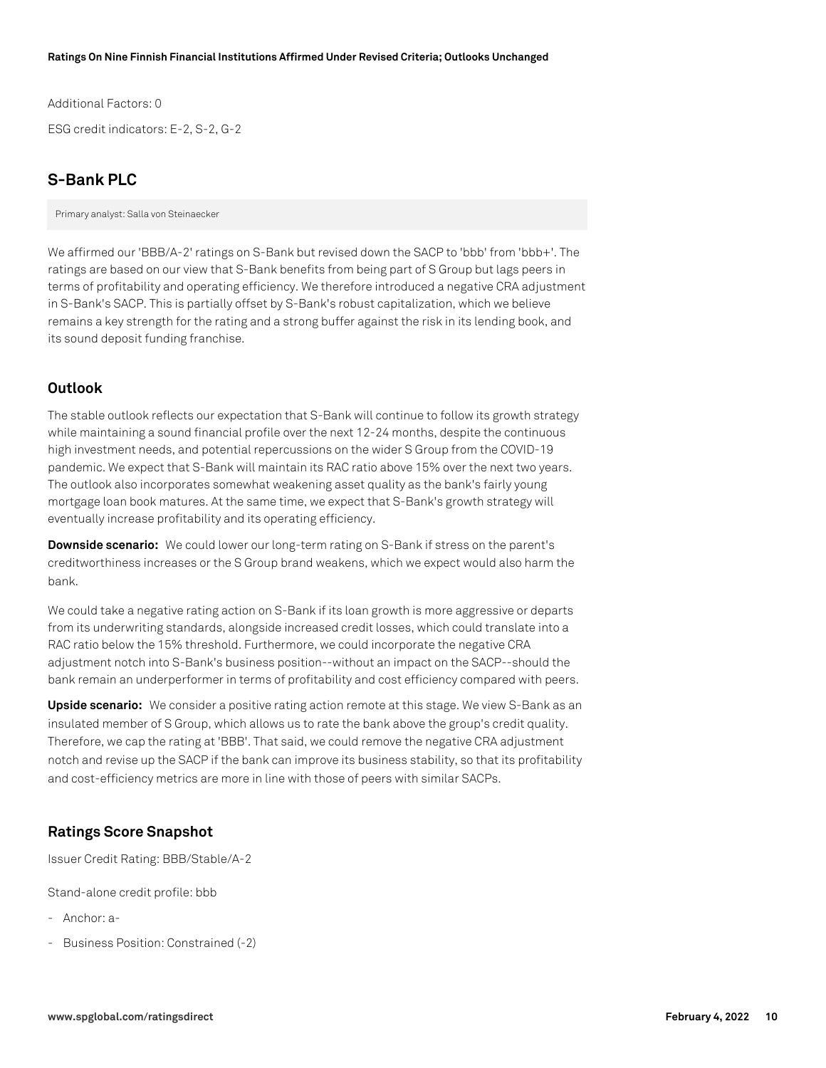Additional Factors: 0 ESG credit indicators: E-2, S-2, G-2

# **S-Bank PLC**

Primary analyst: Salla von Steinaecker

We affirmed our 'BBB/A-2' ratings on S-Bank but revised down the SACP to 'bbb' from 'bbb+'. The ratings are based on our view that S-Bank benefits from being part of S Group but lags peers in terms of profitability and operating efficiency. We therefore introduced a negative CRA adjustment in S-Bank's SACP. This is partially offset by S-Bank's robust capitalization, which we believe remains a key strength for the rating and a strong buffer against the risk in its lending book, and its sound deposit funding franchise.

### **Outlook**

The stable outlook reflects our expectation that S-Bank will continue to follow its growth strategy while maintaining a sound financial profile over the next 12-24 months, despite the continuous high investment needs, and potential repercussions on the wider S Group from the COVID-19 pandemic. We expect that S-Bank will maintain its RAC ratio above 15% over the next two years. The outlook also incorporates somewhat weakening asset quality as the bank's fairly young mortgage loan book matures. At the same time, we expect that S-Bank's growth strategy will eventually increase profitability and its operating efficiency.

**Downside scenario:** We could lower our long-term rating on S-Bank if stress on the parent's creditworthiness increases or the S Group brand weakens, which we expect would also harm the bank.

We could take a negative rating action on S-Bank if its loan growth is more aggressive or departs from its underwriting standards, alongside increased credit losses, which could translate into a RAC ratio below the 15% threshold. Furthermore, we could incorporate the negative CRA adjustment notch into S-Bank's business position--without an impact on the SACP--should the bank remain an underperformer in terms of profitability and cost efficiency compared with peers.

**Upside scenario:** We consider a positive rating action remote at this stage. We view S-Bank as an insulated member of S Group, which allows us to rate the bank above the group's credit quality. Therefore, we cap the rating at 'BBB'. That said, we could remove the negative CRA adjustment notch and revise up the SACP if the bank can improve its business stability, so that its profitability and cost-efficiency metrics are more in line with those of peers with similar SACPs.

# **Ratings Score Snapshot**

Issuer Credit Rating: BBB/Stable/A-2

Stand-alone credit profile: bbb

- Anchor: a-
- Business Position: Constrained (-2)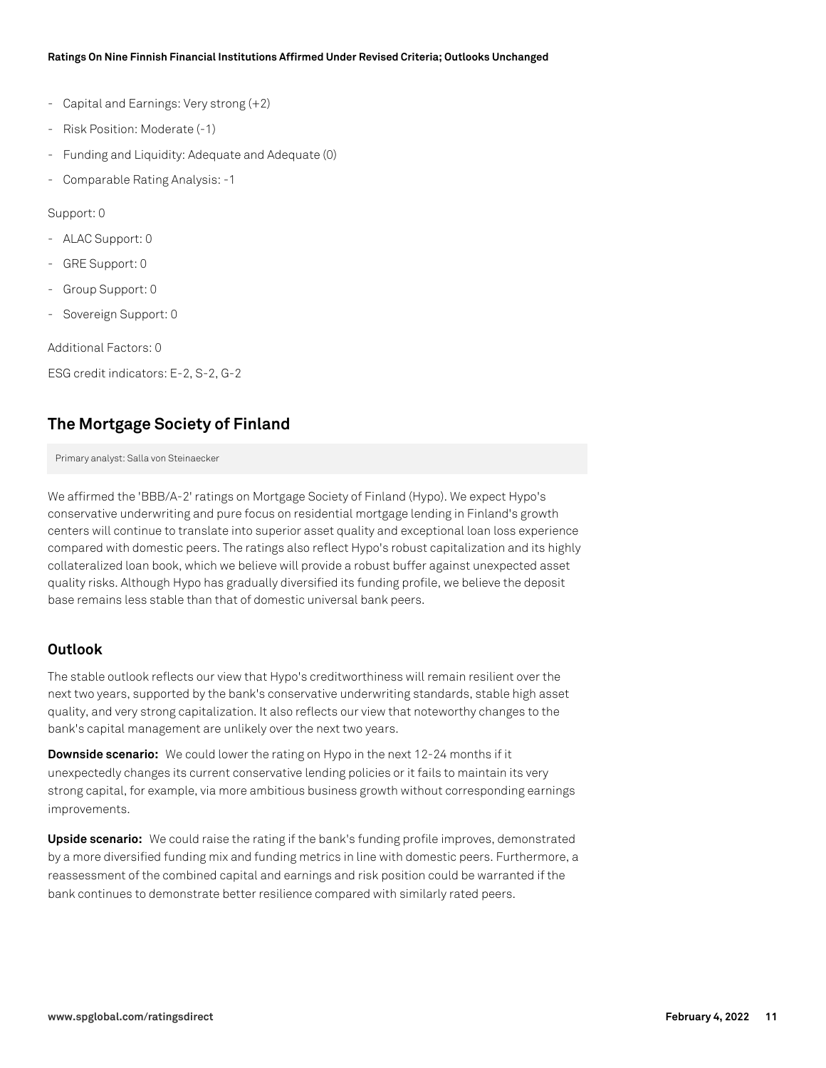- Capital and Earnings: Very strong (+2)
- Risk Position: Moderate (-1)
- Funding and Liquidity: Adequate and Adequate (0)
- Comparable Rating Analysis: -1

Support: 0

- ALAC Support: 0
- GRE Support: 0
- Group Support: 0
- Sovereign Support: 0

Additional Factors: 0

ESG credit indicators: E-2, S-2, G-2

# **The Mortgage Society of Finland**

Primary analyst: Salla von Steinaecker

We affirmed the 'BBB/A-2' ratings on Mortgage Society of Finland (Hypo). We expect Hypo's conservative underwriting and pure focus on residential mortgage lending in Finland's growth centers will continue to translate into superior asset quality and exceptional loan loss experience compared with domestic peers. The ratings also reflect Hypo's robust capitalization and its highly collateralized loan book, which we believe will provide a robust buffer against unexpected asset quality risks. Although Hypo has gradually diversified its funding profile, we believe the deposit base remains less stable than that of domestic universal bank peers.

#### **Outlook**

The stable outlook reflects our view that Hypo's creditworthiness will remain resilient over the next two years, supported by the bank's conservative underwriting standards, stable high asset quality, and very strong capitalization. It also reflects our view that noteworthy changes to the bank's capital management are unlikely over the next two years.

**Downside scenario:** We could lower the rating on Hypo in the next 12-24 months if it unexpectedly changes its current conservative lending policies or it fails to maintain its very strong capital, for example, via more ambitious business growth without corresponding earnings improvements.

**Upside scenario:** We could raise the rating if the bank's funding profile improves, demonstrated by a more diversified funding mix and funding metrics in line with domestic peers. Furthermore, a reassessment of the combined capital and earnings and risk position could be warranted if the bank continues to demonstrate better resilience compared with similarly rated peers.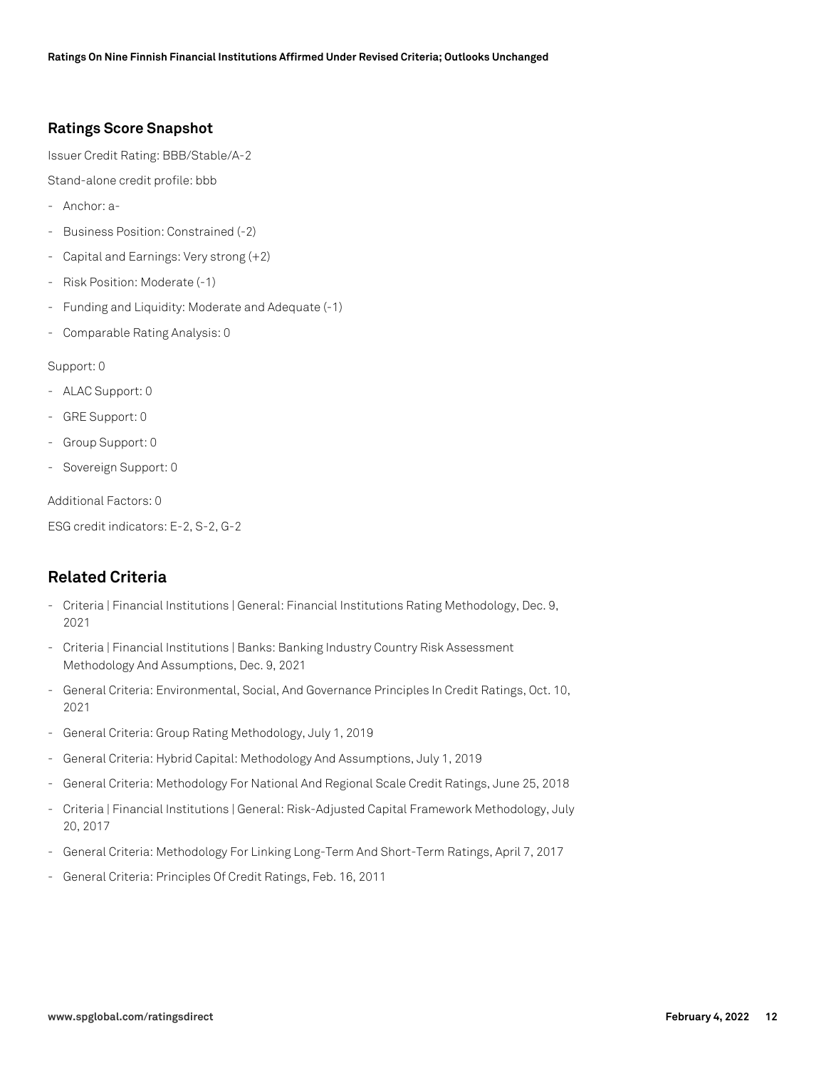# **Ratings Score Snapshot**

Issuer Credit Rating: BBB/Stable/A-2

Stand-alone credit profile: bbb

- Anchor: a-
- Business Position: Constrained (-2)
- Capital and Earnings: Very strong (+2)
- Risk Position: Moderate (-1)
- Funding and Liquidity: Moderate and Adequate (-1)
- Comparable Rating Analysis: 0

#### Support: 0

- ALAC Support: 0
- GRE Support: 0
- Group Support: 0
- Sovereign Support: 0

Additional Factors: 0

ESG credit indicators: E-2, S-2, G-2

# **Related Criteria**

- Criteria | Financial Institutions | General: Financial Institutions Rating Methodology, Dec. 9, 2021
- Criteria | Financial Institutions | Banks: Banking Industry Country Risk Assessment Methodology And Assumptions, Dec. 9, 2021
- General Criteria: Environmental, Social, And Governance Principles In Credit Ratings, Oct. 10, 2021
- General Criteria: Group Rating Methodology, July 1, 2019
- General Criteria: Hybrid Capital: Methodology And Assumptions, July 1, 2019
- General Criteria: Methodology For National And Regional Scale Credit Ratings, June 25, 2018
- Criteria | Financial Institutions | General: Risk-Adjusted Capital Framework Methodology, July 20, 2017
- General Criteria: Methodology For Linking Long-Term And Short-Term Ratings, April 7, 2017
- General Criteria: Principles Of Credit Ratings, Feb. 16, 2011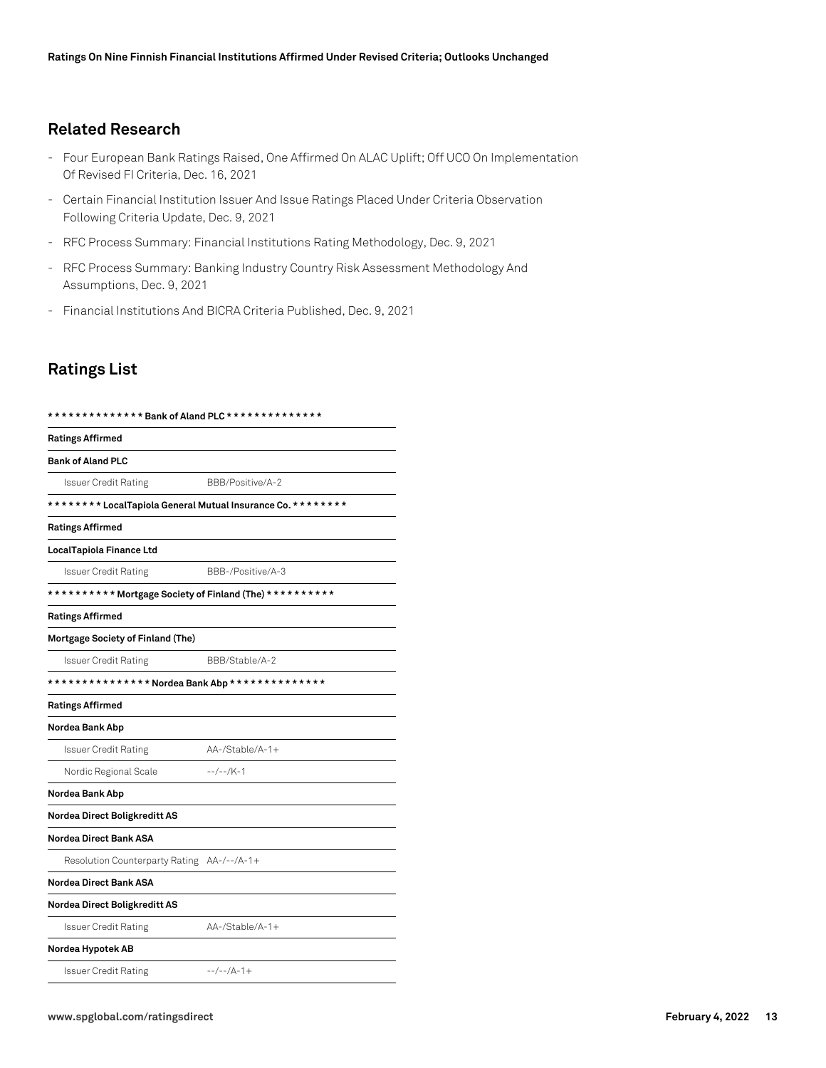# **Related Research**

- Four European Bank Ratings Raised, One Affirmed On ALAC Uplift; Off UCO On Implementation Of Revised FI Criteria, Dec. 16, 2021
- Certain Financial Institution Issuer And Issue Ratings Placed Under Criteria Observation Following Criteria Update, Dec. 9, 2021
- RFC Process Summary: Financial Institutions Rating Methodology, Dec. 9, 2021
- RFC Process Summary: Banking Industry Country Risk Assessment Methodology And Assumptions, Dec. 9, 2021
- Financial Institutions And BICRA Criteria Published, Dec. 9, 2021

# **Ratings List**

| ************** Bank of Aland PLC **************             |                   |  |
|-------------------------------------------------------------|-------------------|--|
| <b>Ratings Affirmed</b>                                     |                   |  |
| <b>Bank of Aland PLC</b>                                    |                   |  |
| <b>Issuer Credit Rating</b>                                 | BBB/Positive/A-2  |  |
| ******** LocalTapiola General Mutual Insurance Co. ******** |                   |  |
| <b>Ratings Affirmed</b>                                     |                   |  |
| LocalTapiola Finance Ltd                                    |                   |  |
| <b>Issuer Credit Rating</b>                                 | BBB-/Positive/A-3 |  |
| ********** Mortgage Society of Finland (The) **********     |                   |  |
| <b>Ratings Affirmed</b>                                     |                   |  |
| Mortgage Society of Finland (The)                           |                   |  |
| <b>Issuer Credit Rating</b>                                 | BBB/Stable/A-2    |  |
| *************** Nordea Bank Abp **************              |                   |  |
| <b>Ratings Affirmed</b>                                     |                   |  |
| Nordea Bank Abp                                             |                   |  |
| Issuer Credit Rating                                        | AA-/Stable/A-1+   |  |
| Nordic Regional Scale                                       | $-$ /--/K-1       |  |
| Nordea Bank Abp                                             |                   |  |
| Nordea Direct Boligkreditt AS                               |                   |  |
| <b>Nordea Direct Bank ASA</b>                               |                   |  |
| Resolution Counterparty Rating AA-/--/A-1+                  |                   |  |
| <b>Nordea Direct Bank ASA</b>                               |                   |  |
| Nordea Direct Boligkreditt AS                               |                   |  |
| Issuer Credit Rating                                        | AA-/Stable/A-1+   |  |
| Nordea Hypotek AB                                           |                   |  |
| Issuer Credit Rating                                        | $-$ -/--/A-1+     |  |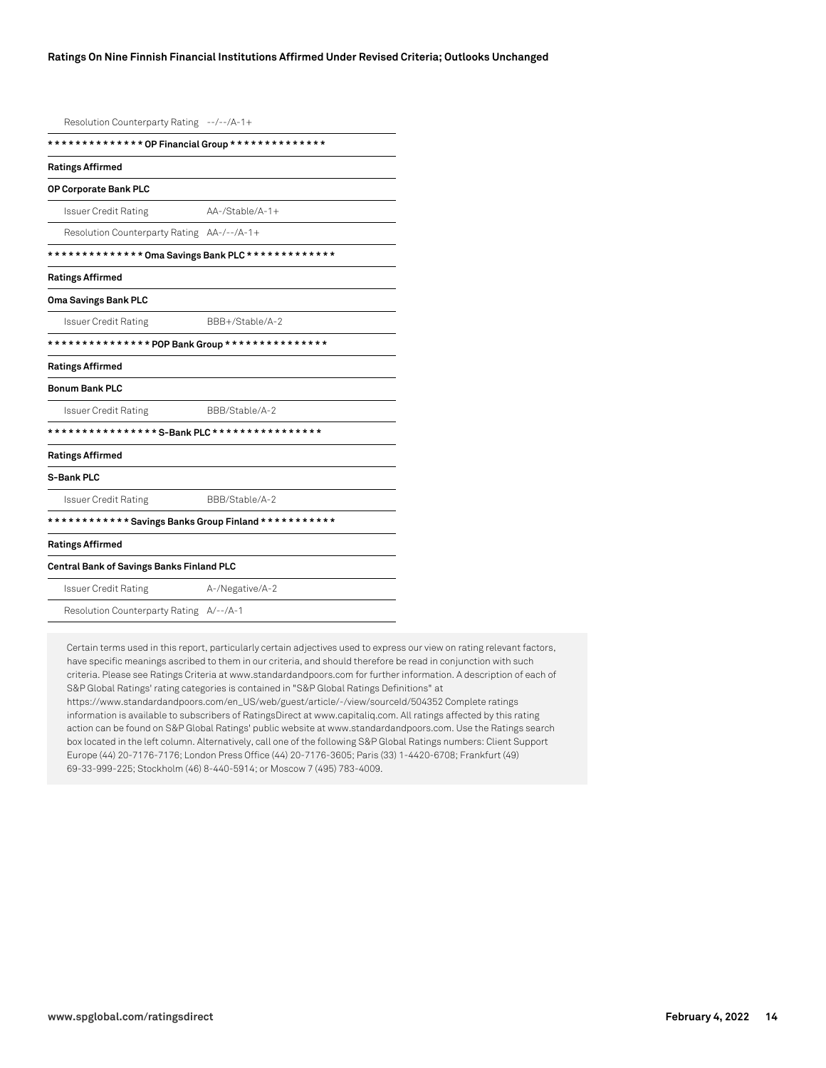Resolution Counterparty Rating --/--/A-1+

| ************** OP Financial Group **************     |                    |  |
|------------------------------------------------------|--------------------|--|
| <b>Ratings Affirmed</b>                              |                    |  |
| OP Corporate Bank PLC                                |                    |  |
| <b>Issuer Credit Rating</b>                          | $AA$ -/Stable/A-1+ |  |
| Resolution Counterparty Rating AA-/--/A-1+           |                    |  |
| ************** Oma Savings Bank PLC *************    |                    |  |
| <b>Ratings Affirmed</b>                              |                    |  |
| Oma Savings Bank PLC                                 |                    |  |
| Issuer Credit Rating                                 | BBB+/Stable/A-2    |  |
| *************** POP Bank Group ***************       |                    |  |
| <b>Ratings Affirmed</b>                              |                    |  |
| <b>Bonum Bank PLC</b>                                |                    |  |
| <b>Issuer Credit Rating</b>                          | BBB/Stable/A-2     |  |
|                                                      |                    |  |
| <b>Ratings Affirmed</b>                              |                    |  |
| S-Bank PLC                                           |                    |  |
| Issuer Credit Rating                                 | BBB/Stable/A-2     |  |
| ************ Savings Banks Group Finland *********** |                    |  |
| <b>Ratings Affirmed</b>                              |                    |  |
| Central Bank of Savings Banks Finland PLC            |                    |  |
| <b>Issuer Credit Rating</b>                          | A-/Negative/A-2    |  |
| Resolution Counterparty Rating A/--/A-1              |                    |  |

Certain terms used in this report, particularly certain adjectives used to express our view on rating relevant factors, have specific meanings ascribed to them in our criteria, and should therefore be read in conjunction with such criteria. Please see Ratings Criteria at www.standardandpoors.com for further information. A description of each of S&P Global Ratings' rating categories is contained in "S&P Global Ratings Definitions" at https://www.standardandpoors.com/en\_US/web/guest/article/-/view/sourceId/504352 Complete ratings information is available to subscribers of RatingsDirect at www.capitaliq.com. All ratings affected by this rating action can be found on S&P Global Ratings' public website at www.standardandpoors.com. Use the Ratings search box located in the left column. Alternatively, call one of the following S&P Global Ratings numbers: Client Support Europe (44) 20-7176-7176; London Press Office (44) 20-7176-3605; Paris (33) 1-4420-6708; Frankfurt (49) 69-33-999-225; Stockholm (46) 8-440-5914; or Moscow 7 (495) 783-4009.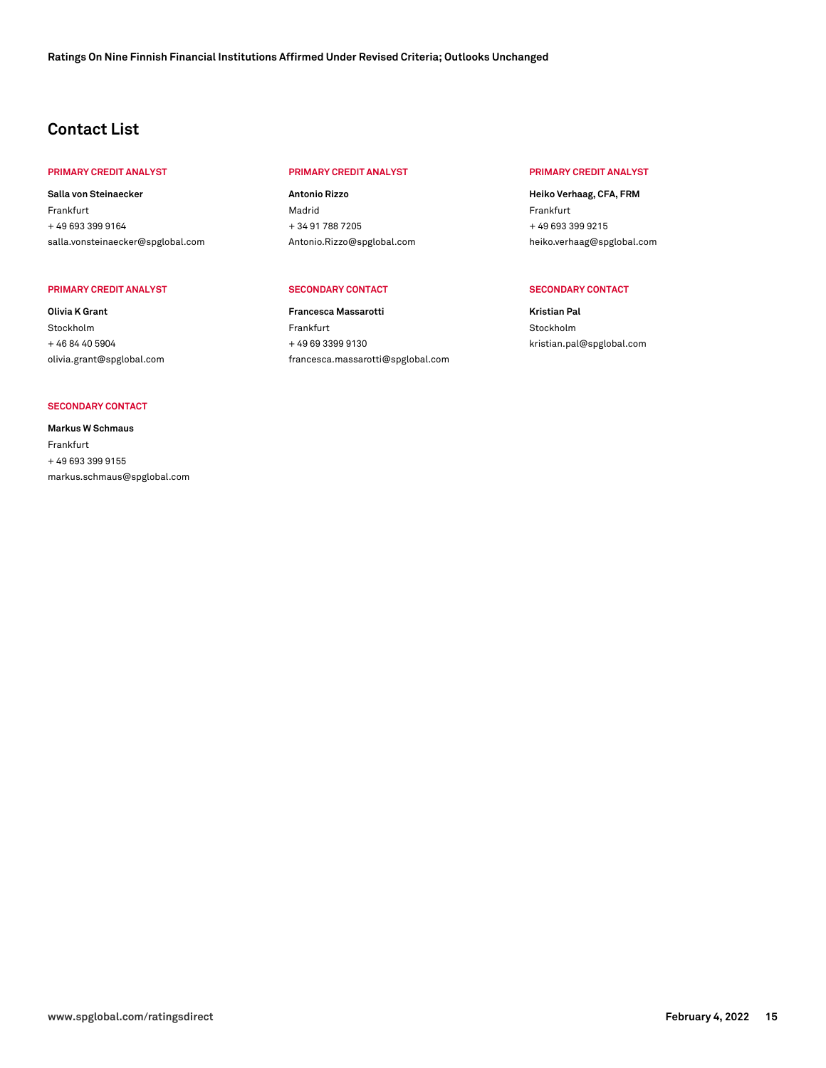# **Contact List**

#### **PRIMARY CREDIT ANALYST PRIMARY CREDIT ANALYST PRIMARY CREDIT ANALYST**

**Salla von Steinaecker** Frankfurt + 49 693 399 9164 [salla.vonsteinaecker@spglobal.com](mailto: salla.vonsteinaecker@spglobal.com)

#### **PRIMARY CREDIT ANALYST SECONDARY CONTACT SECONDARY CONTACT**

**Olivia K Grant** Stockholm + 46 84 40 5904 [olivia.grant@spglobal.com](mailto: olivia.grant@spglobal.com)

#### **SECONDARY CONTACT**

**Markus W Schmaus** Frankfurt + 49 693 399 9155 [markus.schmaus@spglobal.com](mailto: markus.schmaus@spglobal.com)

**Antonio Rizzo** Madrid + 34 91 788 7205 [Antonio.Rizzo@spglobal.com](mailto: Antonio.Rizzo@spglobal.com)

**Francesca Massarotti** Frankfurt + 49 69 3399 9130 [francesca.massarotti@spglobal.com](mailto: francesca.massarotti@spglobal.com)

**Heiko Verhaag, CFA, FRM** Frankfurt + 49 693 399 9215 [heiko.verhaag@spglobal.com](mailto: heiko.verhaag@spglobal.com)

**Kristian Pal** Stockholm [kristian.pal@spglobal.com](mailto: kristian.pal@spglobal.com)